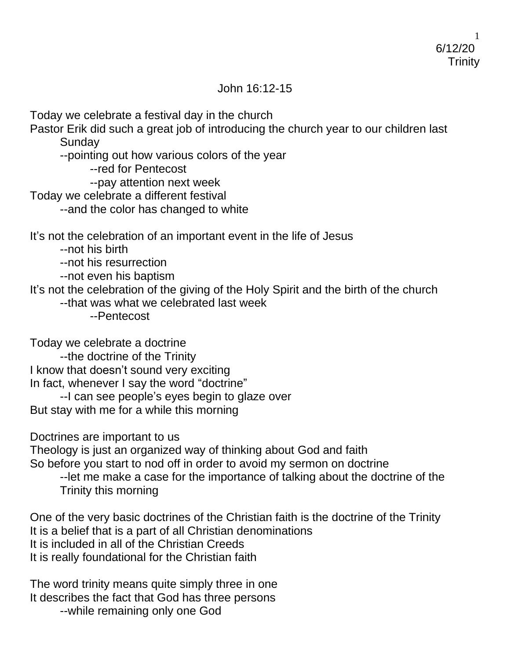## John 16:12-15

Today we celebrate a festival day in the church

Pastor Erik did such a great job of introducing the church year to our children last **Sunday** 

- --pointing out how various colors of the year
	- --red for Pentecost
	- --pay attention next week
- Today we celebrate a different festival
	- --and the color has changed to white

It's not the celebration of an important event in the life of Jesus

- --not his birth
- --not his resurrection
- --not even his baptism
- It's not the celebration of the giving of the Holy Spirit and the birth of the church
	- --that was what we celebrated last week
		- --Pentecost

Today we celebrate a doctrine

--the doctrine of the Trinity I know that doesn't sound very exciting In fact, whenever I say the word "doctrine"

--I can see people's eyes begin to glaze over But stay with me for a while this morning

Doctrines are important to us

Theology is just an organized way of thinking about God and faith

So before you start to nod off in order to avoid my sermon on doctrine

--let me make a case for the importance of talking about the doctrine of the Trinity this morning

One of the very basic doctrines of the Christian faith is the doctrine of the Trinity It is a belief that is a part of all Christian denominations It is included in all of the Christian Creeds It is really foundational for the Christian faith

The word trinity means quite simply three in one It describes the fact that God has three persons --while remaining only one God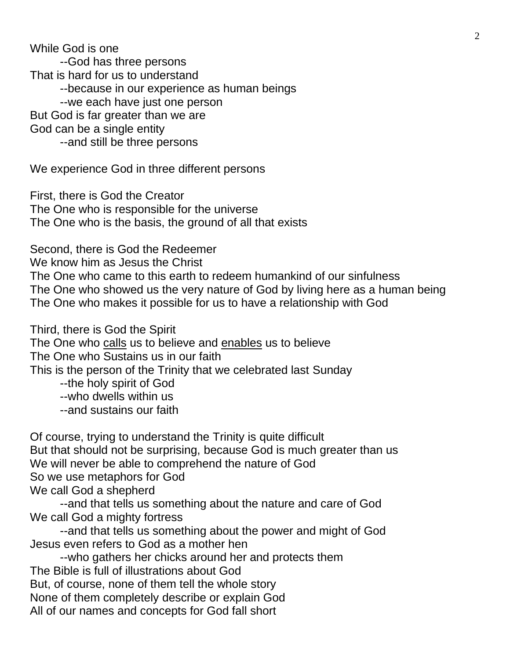While God is one --God has three persons That is hard for us to understand --because in our experience as human beings --we each have just one person But God is far greater than we are God can be a single entity --and still be three persons

We experience God in three different persons

First, there is God the Creator The One who is responsible for the universe The One who is the basis, the ground of all that exists

Second, there is God the Redeemer

We know him as Jesus the Christ

The One who came to this earth to redeem humankind of our sinfulness The One who showed us the very nature of God by living here as a human being The One who makes it possible for us to have a relationship with God

Third, there is God the Spirit

The One who calls us to believe and enables us to believe

The One who Sustains us in our faith

This is the person of the Trinity that we celebrated last Sunday

- --the holy spirit of God
- --who dwells within us
- --and sustains our faith

Of course, trying to understand the Trinity is quite difficult But that should not be surprising, because God is much greater than us We will never be able to comprehend the nature of God So we use metaphors for God We call God a shepherd

--and that tells us something about the nature and care of God We call God a mighty fortress

--and that tells us something about the power and might of God Jesus even refers to God as a mother hen

--who gathers her chicks around her and protects them The Bible is full of illustrations about God But, of course, none of them tell the whole story None of them completely describe or explain God All of our names and concepts for God fall short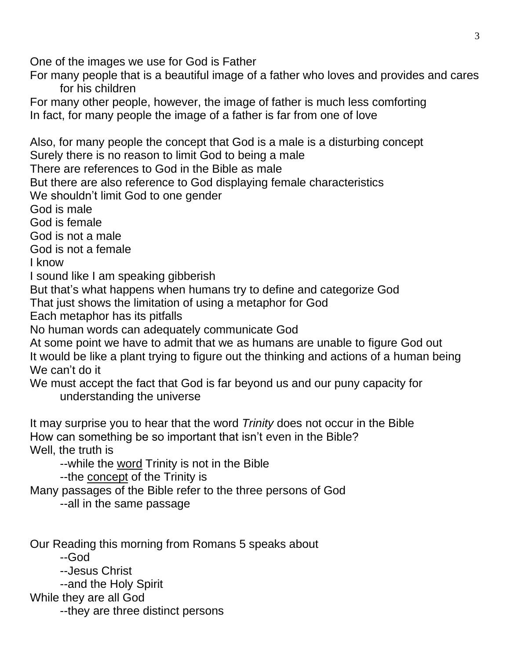One of the images we use for God is Father

For many people that is a beautiful image of a father who loves and provides and cares for his children

For many other people, however, the image of father is much less comforting In fact, for many people the image of a father is far from one of love

Also, for many people the concept that God is a male is a disturbing concept Surely there is no reason to limit God to being a male There are references to God in the Bible as male But there are also reference to God displaying female characteristics We shouldn't limit God to one gender God is male God is female God is not a male God is not a female I know I sound like I am speaking gibberish But that's what happens when humans try to define and categorize God That just shows the limitation of using a metaphor for God Each metaphor has its pitfalls No human words can adequately communicate God At some point we have to admit that we as humans are unable to figure God out It would be like a plant trying to figure out the thinking and actions of a human being We can't do it We must accept the fact that God is far beyond us and our puny capacity for understanding the universe It may surprise you to hear that the word *Trinity* does not occur in the Bible How can something be so important that isn't even in the Bible? Well, the truth is --while the word Trinity is not in the Bible --the concept of the Trinity is Many passages of the Bible refer to the three persons of God --all in the same passage

Our Reading this morning from Romans 5 speaks about

--God

--Jesus Christ

--and the Holy Spirit

While they are all God

--they are three distinct persons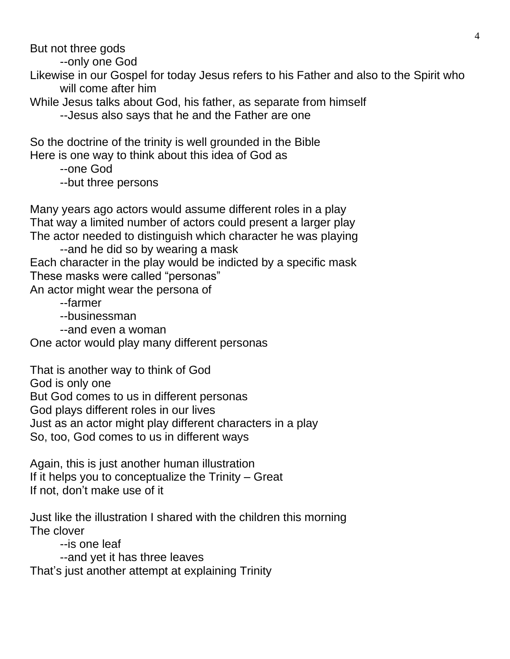But not three gods

--only one God

Likewise in our Gospel for today Jesus refers to his Father and also to the Spirit who will come after him

While Jesus talks about God, his father, as separate from himself

--Jesus also says that he and the Father are one

So the doctrine of the trinity is well grounded in the Bible Here is one way to think about this idea of God as

--one God

--but three persons

Many years ago actors would assume different roles in a play That way a limited number of actors could present a larger play The actor needed to distinguish which character he was playing

--and he did so by wearing a mask Each character in the play would be indicted by a specific mask These masks were called "personas" An actor might wear the persona of

--farmer

--businessman

--and even a woman

One actor would play many different personas

That is another way to think of God God is only one But God comes to us in different personas God plays different roles in our lives Just as an actor might play different characters in a play So, too, God comes to us in different ways

Again, this is just another human illustration If it helps you to conceptualize the Trinity – Great If not, don't make use of it

Just like the illustration I shared with the children this morning The clover

--is one leaf

--and yet it has three leaves That's just another attempt at explaining Trinity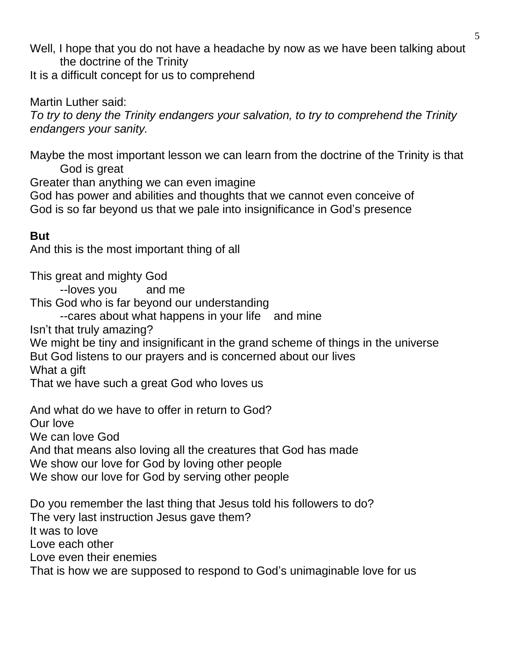Well, I hope that you do not have a headache by now as we have been talking about the doctrine of the Trinity

It is a difficult concept for us to comprehend

Martin Luther said:

*To try to deny the Trinity endangers your salvation, to try to comprehend the Trinity endangers your sanity.*

Maybe the most important lesson we can learn from the doctrine of the Trinity is that God is great

Greater than anything we can even imagine God has power and abilities and thoughts that we cannot even conceive of God is so far beyond us that we pale into insignificance in God's presence

## **But**

And this is the most important thing of all

This great and mighty God

--loves you and me

This God who is far beyond our understanding

--cares about what happens in your life and mine

Isn't that truly amazing?

We might be tiny and insignificant in the grand scheme of things in the universe But God listens to our prayers and is concerned about our lives What a gift

That we have such a great God who loves us

And what do we have to offer in return to God? Our love We can love God And that means also loving all the creatures that God has made We show our love for God by loving other people We show our love for God by serving other people

Do you remember the last thing that Jesus told his followers to do? The very last instruction Jesus gave them? It was to love Love each other Love even their enemies That is how we are supposed to respond to God's unimaginable love for us